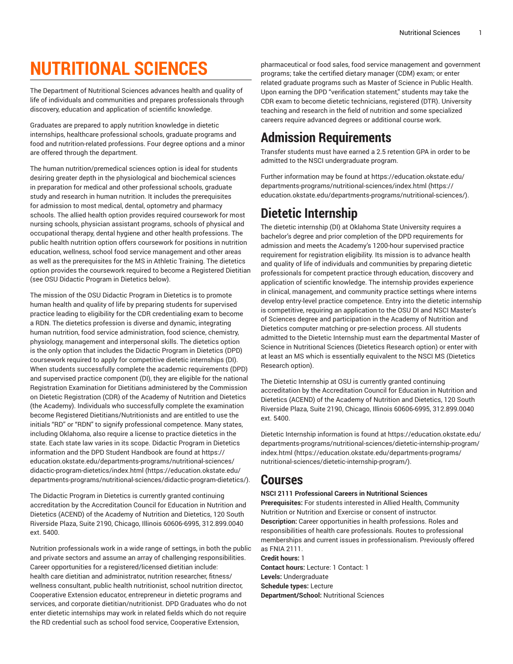# **NUTRITIONAL SCIENCES**

The Department of Nutritional Sciences advances health and quality of life of individuals and communities and prepares professionals through discovery, education and application of scientific knowledge.

Graduates are prepared to apply nutrition knowledge in dietetic internships, healthcare professional schools, graduate programs and food and nutrition-related professions. Four degree options and a minor are offered through the department.

The human nutrition/premedical sciences option is ideal for students desiring greater depth in the physiological and biochemical sciences in preparation for medical and other professional schools, graduate study and research in human nutrition. It includes the prerequisites for admission to most medical, dental, optometry and pharmacy schools. The allied health option provides required coursework for most nursing schools, physician assistant programs, schools of physical and occupational therapy, dental hygiene and other health professions. The public health nutrition option offers coursework for positions in nutrition education, wellness, school food service management and other areas as well as the prerequisites for the MS in Athletic Training. The dietetics option provides the coursework required to become a Registered Dietitian (see OSU Didactic Program in Dietetics below).

The mission of the OSU Didactic Program in Dietetics is to promote human health and quality of life by preparing students for supervised practice leading to eligibility for the CDR credentialing exam to become a RDN. The dietetics profession is diverse and dynamic, integrating human nutrition, food service administration, food science, chemistry, physiology, management and interpersonal skills. The dietetics option is the only option that includes the Didactic Program in Dietetics (DPD) coursework required to apply for competitive dietetic internships (DI). When students successfully complete the academic requirements (DPD) and supervised practice component (DI), they are eligible for the national Registration Examination for Dietitians administered by the Commission on Dietetic Registration (CDR) of the Academy of Nutrition and Dietetics (the Academy). Individuals who successfully complete the examination become Registered Dietitians/Nutritionists and are entitled to use the initials "RD" or "RDN" to signify professional competence. Many states, including Oklahoma, also require a license to practice dietetics in the state. Each state law varies in its scope. Didactic Program in Dietetics information and the DPD Student Handbook are found at [https://](https://education.okstate.edu/departments-programs/nutritional-sciences/didactic-program-dietetics/) [education.okstate.edu/departments-programs/nutritional-sciences/](https://education.okstate.edu/departments-programs/nutritional-sciences/didactic-program-dietetics/) [didactic-program-dietetics/index.html \(https://education.okstate.edu/](https://education.okstate.edu/departments-programs/nutritional-sciences/didactic-program-dietetics/) [departments-programs/nutritional-sciences/didactic-program-dietetics/](https://education.okstate.edu/departments-programs/nutritional-sciences/didactic-program-dietetics/)).

The Didactic Program in Dietetics is currently granted continuing accreditation by the Accreditation Council for Education in Nutrition and Dietetics (ACEND) of the Academy of Nutrition and Dietetics, 120 South Riverside Plaza, Suite 2190, Chicago, Illinois 60606-6995, 312.899.0040 ext. 5400.

Nutrition professionals work in a wide range of settings, in both the public and private sectors and assume an array of challenging responsibilities. Career opportunities for a registered/licensed dietitian include: health care dietitian and administrator, nutrition researcher, fitness/ wellness consultant, public health nutritionist, school nutrition director, Cooperative Extension educator, entrepreneur in dietetic programs and services, and corporate dietitian/nutritionist. DPD Graduates who do not enter dietetic internships may work in related fields which do not require the RD credential such as school food service, Cooperative Extension,

pharmaceutical or food sales, food service management and government programs; take the certified dietary manager (CDM) exam; or enter related graduate programs such as Master of Science in Public Health. Upon earning the DPD "verification statement," students may take the CDR exam to become dietetic technicians, registered (DTR). University teaching and research in the field of nutrition and some specialized careers require advanced degrees or additional course work.

### **Admission Requirements**

Transfer students must have earned a 2.5 retention GPA in order to be admitted to the NSCI undergraduate program.

Further information may be found at [https://education.okstate.edu/](https://education.okstate.edu/departments-programs/nutritional-sciences/) [departments-programs/nutritional-sciences/index.html](https://education.okstate.edu/departments-programs/nutritional-sciences/) [\(https://](https://education.okstate.edu/departments-programs/nutritional-sciences/) [education.okstate.edu/departments-programs/nutritional-sciences/](https://education.okstate.edu/departments-programs/nutritional-sciences/)).

### **Dietetic Internship**

The dietetic internship (DI) at Oklahoma State University requires a bachelor's degree and prior completion of the DPD requirements for admission and meets the Academy's 1200-hour supervised practice requirement for registration eligibility. Its mission is to advance health and quality of life of individuals and communities by preparing dietetic professionals for competent practice through education, discovery and application of scientific knowledge. The internship provides experience in clinical, management, and community practice settings where interns develop entry-level practice competence. Entry into the dietetic internship is competitive, requiring an application to the OSU DI and NSCI Master's of Sciences degree and participation in the Academy of Nutrition and Dietetics computer matching or pre-selection process. All students admitted to the Dietetic Internship must earn the departmental Master of Science in Nutritional Sciences (Dietetics Research option) or enter with at least an MS which is essentially equivalent to the NSCI MS (Dietetics Research option).

The Dietetic Internship at OSU is currently granted continuing accreditation by the Accreditation Council for Education in Nutrition and Dietetics (ACEND) of the Academy of Nutrition and Dietetics, 120 South Riverside Plaza, Suite 2190, Chicago, Illinois 60606-6995, 312.899.0040 ext. 5400.

Dietetic Internship information is found at [https://education.okstate.edu/](https://education.okstate.edu/departments-programs/nutritional-sciences/dietetic-internship-program/) [departments-programs/nutritional-sciences/dietetic-internship-program/](https://education.okstate.edu/departments-programs/nutritional-sciences/dietetic-internship-program/) [index.html](https://education.okstate.edu/departments-programs/nutritional-sciences/dietetic-internship-program/) ([https://education.okstate.edu/departments-programs/](https://education.okstate.edu/departments-programs/nutritional-sciences/dietetic-internship-program/) [nutritional-sciences/dietetic-internship-program/\)](https://education.okstate.edu/departments-programs/nutritional-sciences/dietetic-internship-program/).

### **Courses**

#### **NSCI 2111 Professional Careers in Nutritional Sciences**

**Prerequisites:** For students interested in Allied Health, Community Nutrition or Nutrition and Exercise or consent of instructor. **Description:** Career opportunities in health professions. Roles and responsibilities of health care professionals. Routes to professional memberships and current issues in professionalism. Previously offered as FNIA 2111.

**Credit hours:** 1 **Contact hours:** Lecture: 1 Contact: 1 **Levels:** Undergraduate **Schedule types:** Lecture **Department/School:** Nutritional Sciences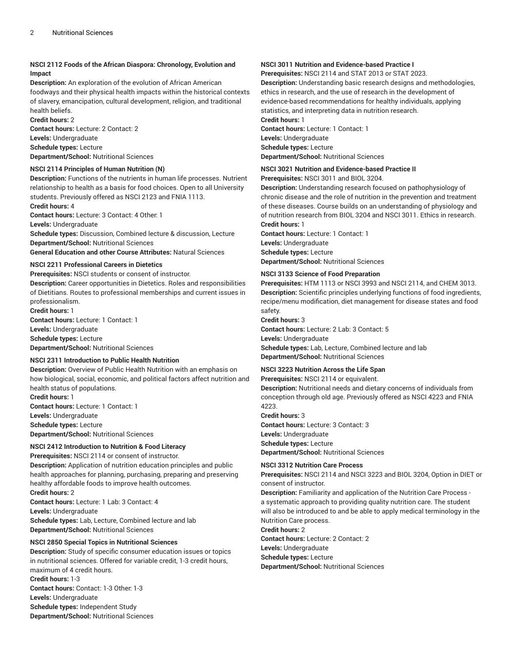#### **NSCI 2112 Foods of the African Diaspora: Chronology, Evolution and Impact**

**Description:** An exploration of the evolution of African American foodways and their physical health impacts within the historical contexts of slavery, emancipation, cultural development, religion, and traditional health beliefs.

**Credit hours:** 2

**Contact hours:** Lecture: 2 Contact: 2 **Levels:** Undergraduate **Schedule types:** Lecture **Department/School:** Nutritional Sciences

#### **NSCI 2114 Principles of Human Nutrition (N)**

**Description:** Functions of the nutrients in human life processes. Nutrient relationship to health as a basis for food choices. Open to all University students. Previously offered as NSCI 2123 and FNIA 1113.

**Credit hours:** 4

**Contact hours:** Lecture: 3 Contact: 4 Other: 1

**Levels:** Undergraduate

**Schedule types:** Discussion, Combined lecture & discussion, Lecture **Department/School:** Nutritional Sciences

**General Education and other Course Attributes:** Natural Sciences

#### **NSCI 2211 Professional Careers in Dietetics**

**Prerequisites:** NSCI students or consent of instructor.

**Description:** Career opportunities in Dietetics. Roles and responsibilities of Dietitians. Routes to professional memberships and current issues in professionalism.

**Credit hours:** 1 **Contact hours:** Lecture: 1 Contact: 1

**Levels:** Undergraduate

**Schedule types:** Lecture

**Department/School:** Nutritional Sciences

#### **NSCI 2311 Introduction to Public Health Nutrition**

**Description:** Overview of Public Health Nutrition with an emphasis on how biological, social, economic, and political factors affect nutrition and health status of populations.

**Credit hours:** 1 **Contact hours:** Lecture: 1 Contact: 1 **Levels:** Undergraduate **Schedule types:** Lecture **Department/School:** Nutritional Sciences

#### **NSCI 2412 Introduction to Nutrition & Food Literacy**

**Prerequisites:** NSCI 2114 or consent of instructor. **Description:** Application of nutrition education principles and public health approaches for planning, purchasing, preparing and preserving healthy affordable foods to improve health outcomes. **Credit hours:** 2 **Contact hours:** Lecture: 1 Lab: 3 Contact: 4 **Levels:** Undergraduate **Schedule types:** Lab, Lecture, Combined lecture and lab

**Department/School:** Nutritional Sciences

#### **NSCI 2850 Special Topics in Nutritional Sciences**

**Description:** Study of specific consumer education issues or topics in nutritional sciences. Offered for variable credit, 1-3 credit hours, maximum of 4 credit hours.

**Credit hours:** 1-3 **Contact hours:** Contact: 1-3 Other: 1-3 **Levels:** Undergraduate **Schedule types:** Independent Study **Department/School:** Nutritional Sciences

#### **NSCI 3011 Nutrition and Evidence-based Practice I**

**Prerequisites:** NSCI 2114 and STAT 2013 or STAT 2023.

**Description:** Understanding basic research designs and methodologies, ethics in research, and the use of research in the development of evidence-based recommendations for healthy individuals, applying statistics, and interpreting data in nutrition research. **Credit hours:** 1

**Contact hours:** Lecture: 1 Contact: 1 **Levels:** Undergraduate **Schedule types:** Lecture **Department/School:** Nutritional Sciences

#### **NSCI 3021 Nutrition and Evidence-based Practice II**

**Prerequisites:** NSCI 3011 and BIOL 3204.

**Description:** Understanding research focused on pathophysiology of chronic disease and the role of nutrition in the prevention and treatment of these diseases. Course builds on an understanding of physiology and of nutrition research from BIOL 3204 and NSCI 3011. Ethics in research. **Credit hours:** 1

**Contact hours:** Lecture: 1 Contact: 1 **Levels:** Undergraduate **Schedule types:** Lecture **Department/School:** Nutritional Sciences

#### **NSCI 3133 Science of Food Preparation**

**Prerequisites:** HTM 1113 or NSCI 3993 and NSCI 2114, and CHEM 3013. **Description:** Scientific principles underlying functions of food ingredients, recipe/menu modification, diet management for disease states and food safety.

#### **Credit hours:** 3

**Contact hours:** Lecture: 2 Lab: 3 Contact: 5 **Levels:** Undergraduate **Schedule types:** Lab, Lecture, Combined lecture and lab **Department/School:** Nutritional Sciences

#### **NSCI 3223 Nutrition Across the Life Span**

**Prerequisites:** NSCI 2114 or equivalent.

**Description:** Nutritional needs and dietary concerns of individuals from conception through old age. Previously offered as NSCI 4223 and FNIA  $1223$ 

**Credit hours:** 3 **Contact hours:** Lecture: 3 Contact: 3 **Levels:** Undergraduate **Schedule types:** Lecture **Department/School:** Nutritional Sciences

#### **NSCI 3312 Nutrition Care Process**

**Prerequisites:** NSCI 2114 and NSCI 3223 and BIOL 3204, Option in DIET or consent of instructor.

**Description:** Familiarity and application of the Nutrition Care Process a systematic approach to providing quality nutrition care. The student will also be introduced to and be able to apply medical terminology in the Nutrition Care process.

**Credit hours:** 2

**Contact hours:** Lecture: 2 Contact: 2 **Levels:** Undergraduate **Schedule types:** Lecture **Department/School:** Nutritional Sciences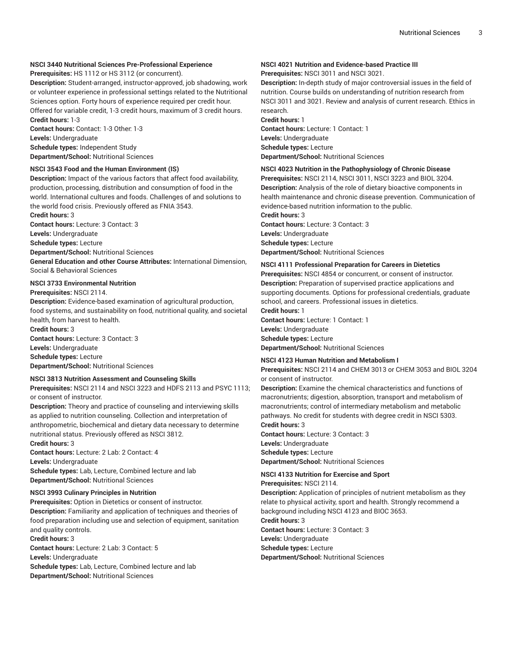#### **NSCI 3440 Nutritional Sciences Pre-Professional Experience**

**Prerequisites:** HS 1112 or HS 3112 (or concurrent).

**Description:** Student-arranged, instructor-approved, job shadowing, work or volunteer experience in professional settings related to the Nutritional Sciences option. Forty hours of experience required per credit hour. Offered for variable credit, 1-3 credit hours, maximum of 3 credit hours. **Credit hours:** 1-3

**Contact hours:** Contact: 1-3 Other: 1-3 **Levels:** Undergraduate **Schedule types:** Independent Study **Department/School:** Nutritional Sciences

#### **NSCI 3543 Food and the Human Environment (IS)**

**Description:** Impact of the various factors that affect food availability, production, processing, distribution and consumption of food in the world. International cultures and foods. Challenges of and solutions to the world food crisis. Previously offered as FNIA 3543.

**Credit hours:** 3

**Contact hours:** Lecture: 3 Contact: 3

**Levels:** Undergraduate

**Schedule types:** Lecture

**Department/School:** Nutritional Sciences

**General Education and other Course Attributes:** International Dimension, Social & Behavioral Sciences

#### **NSCI 3733 Environmental Nutrition**

**Prerequisites:** NSCI 2114.

**Description:** Evidence-based examination of agricultural production, food systems, and sustainability on food, nutritional quality, and societal health, from harvest to health.

**Credit hours:** 3

**Contact hours:** Lecture: 3 Contact: 3

**Levels:** Undergraduate **Schedule types:** Lecture

**Department/School:** Nutritional Sciences

#### **NSCI 3813 Nutrition Assessment and Counseling Skills**

**Prerequisites:** NSCI 2114 and NSCI 3223 and HDFS 2113 and PSYC 1113; or consent of instructor.

**Description:** Theory and practice of counseling and interviewing skills as applied to nutrition counseling. Collection and interpretation of anthropometric, biochemical and dietary data necessary to determine nutritional status. Previously offered as NSCI 3812.

**Credit hours:** 3

**Contact hours:** Lecture: 2 Lab: 2 Contact: 4 **Levels:** Undergraduate **Schedule types:** Lab, Lecture, Combined lecture and lab **Department/School:** Nutritional Sciences

#### **NSCI 3993 Culinary Principles in Nutrition**

**Prerequisites:** Option in Dietetics or consent of instructor. **Description:** Familiarity and application of techniques and theories of food preparation including use and selection of equipment, sanitation and quality controls.

#### **Credit hours:** 3

**Contact hours:** Lecture: 2 Lab: 3 Contact: 5 **Levels:** Undergraduate **Schedule types:** Lab, Lecture, Combined lecture and lab **Department/School:** Nutritional Sciences

#### **NSCI 4021 Nutrition and Evidence-based Practice III Prerequisites:** NSCI 3011 and NSCI 3021.

**Description:** In-depth study of major controversial issues in the field of nutrition. Course builds on understanding of nutrition research from NSCI 3011 and 3021. Review and analysis of current research. Ethics in research.

**Credit hours:** 1 **Contact hours:** Lecture: 1 Contact: 1 **Levels:** Undergraduate **Schedule types:** Lecture **Department/School:** Nutritional Sciences

#### **NSCI 4023 Nutrition in the Pathophysiology of Chronic Disease**

**Prerequisites:** NSCI 2114, NSCI 3011, NSCI 3223 and BIOL 3204. **Description:** Analysis of the role of dietary bioactive components in health maintenance and chronic disease prevention. Communication of evidence-based nutrition information to the public.

**Credit hours:** 3 **Contact hours:** Lecture: 3 Contact: 3

**Levels:** Undergraduate **Schedule types:** Lecture

**Department/School:** Nutritional Sciences

### **NSCI 4111 Professional Preparation for Careers in Dietetics**

**Prerequisites:** NSCI 4854 or concurrent, or consent of instructor. **Description:** Preparation of supervised practice applications and supporting documents. Options for professional credentials, graduate school, and careers. Professional issues in dietetics. **Credit hours:** 1

**Contact hours:** Lecture: 1 Contact: 1 **Levels:** Undergraduate **Schedule types:** Lecture **Department/School:** Nutritional Sciences

#### **NSCI 4123 Human Nutrition and Metabolism I**

**Prerequisites:** NSCI 2114 and CHEM 3013 or CHEM 3053 and BIOL 3204 or consent of instructor.

**Description:** Examine the chemical characteristics and functions of macronutrients; digestion, absorption, transport and metabolism of macronutrients; control of intermediary metabolism and metabolic pathways. No credit for students with degree credit in NSCI 5303. **Credit hours:** 3

**Contact hours:** Lecture: 3 Contact: 3 **Levels:** Undergraduate **Schedule types:** Lecture **Department/School:** Nutritional Sciences

#### **NSCI 4133 Nutrition for Exercise and Sport**

**Prerequisites:** NSCI 2114.

**Description:** Application of principles of nutrient metabolism as they relate to physical activity, sport and health. Strongly recommend a background including NSCI 4123 and BIOC 3653.

**Credit hours:** 3

**Contact hours:** Lecture: 3 Contact: 3

**Levels:** Undergraduate

**Schedule types:** Lecture

**Department/School:** Nutritional Sciences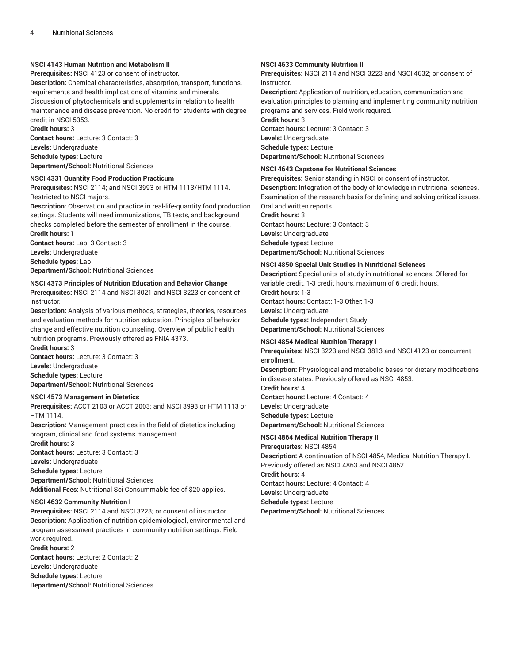#### **NSCI 4143 Human Nutrition and Metabolism II**

**Prerequisites:** NSCI 4123 or consent of instructor.

**Description:** Chemical characteristics, absorption, transport, functions, requirements and health implications of vitamins and minerals. Discussion of phytochemicals and supplements in relation to health maintenance and disease prevention. No credit for students with degree credit in NSCI 5353.

**Credit hours:** 3 **Contact hours:** Lecture: 3 Contact: 3

**Levels:** Undergraduate

**Schedule types:** Lecture **Department/School:** Nutritional Sciences

#### **NSCI 4331 Quantity Food Production Practicum**

**Prerequisites:** NSCI 2114; and NSCI 3993 or HTM 1113/HTM 1114. Restricted to NSCI majors.

**Description:** Observation and practice in real-life-quantity food production settings. Students will need immunizations, TB tests, and background checks completed before the semester of enrollment in the course. **Credit hours:** 1

**Contact hours:** Lab: 3 Contact: 3

**Levels:** Undergraduate

**Schedule types:** Lab

**Department/School:** Nutritional Sciences

#### **NSCI 4373 Principles of Nutrition Education and Behavior Change**

**Prerequisites:** NSCI 2114 and NSCI 3021 and NSCI 3223 or consent of instructor.

**Description:** Analysis of various methods, strategies, theories, resources and evaluation methods for nutrition education. Principles of behavior change and effective nutrition counseling. Overview of public health nutrition programs. Previously offered as FNIA 4373. **Credit hours:** 3

**Contact hours:** Lecture: 3 Contact: 3 **Levels:** Undergraduate **Schedule types:** Lecture **Department/School:** Nutritional Sciences

#### **NSCI 4573 Management in Dietetics**

**Prerequisites:** ACCT 2103 or ACCT 2003; and NSCI 3993 or HTM 1113 or HTM 1114.

**Description:** Management practices in the field of dietetics including program, clinical and food systems management. **Credit hours:** 3

**Contact hours:** Lecture: 3 Contact: 3

**Levels:** Undergraduate

**Schedule types:** Lecture

**Department/School:** Nutritional Sciences

**Additional Fees:** Nutritional Sci Consummable fee of \$20 applies.

#### **NSCI 4632 Community Nutrition I**

**Prerequisites:** NSCI 2114 and NSCI 3223; or consent of instructor. **Description:** Application of nutrition epidemiological, environmental and program assessment practices in community nutrition settings. Field work required. **Credit hours:** 2

**Contact hours:** Lecture: 2 Contact: 2 **Levels:** Undergraduate **Schedule types:** Lecture **Department/School:** Nutritional Sciences

#### **NSCI 4633 Community Nutrition II**

**Prerequisites:** NSCI 2114 and NSCI 3223 and NSCI 4632; or consent of instructor.

**Description:** Application of nutrition, education, communication and evaluation principles to planning and implementing community nutrition programs and services. Field work required.

**Credit hours:** 3

**Contact hours:** Lecture: 3 Contact: 3 **Levels:** Undergraduate **Schedule types:** Lecture **Department/School:** Nutritional Sciences

#### **NSCI 4643 Capstone for Nutritional Sciences**

**Prerequisites:** Senior standing in NSCI or consent of instructor. **Description:** Integration of the body of knowledge in nutritional sciences. Examination of the research basis for defining and solving critical issues. Oral and written reports.

**Credit hours:** 3 **Contact hours:** Lecture: 3 Contact: 3 **Levels:** Undergraduate **Schedule types:** Lecture **Department/School:** Nutritional Sciences

**NSCI 4850 Special Unit Studies in Nutritional Sciences**

**Description:** Special units of study in nutritional sciences. Offered for variable credit, 1-3 credit hours, maximum of 6 credit hours.

**Credit hours:** 1-3 **Contact hours:** Contact: 1-3 Other: 1-3 **Levels:** Undergraduate **Schedule types:** Independent Study **Department/School:** Nutritional Sciences

#### **NSCI 4854 Medical Nutrition Therapy I**

**Prerequisites:** NSCI 3223 and NSCI 3813 and NSCI 4123 or concurrent enrollment.

**Description:** Physiological and metabolic bases for dietary modifications in disease states. Previously offered as NSCI 4853.

**Credit hours:** 4 **Contact hours:** Lecture: 4 Contact: 4 **Levels:** Undergraduate **Schedule types:** Lecture

**Department/School:** Nutritional Sciences

**NSCI 4864 Medical Nutrition Therapy II**

**Prerequisites:** NSCI 4854. **Description:** A continuation of NSCI 4854, Medical Nutrition Therapy I. Previously offered as NSCI 4863 and NSCI 4852. **Credit hours:** 4 **Contact hours:** Lecture: 4 Contact: 4 **Levels:** Undergraduate **Schedule types:** Lecture **Department/School:** Nutritional Sciences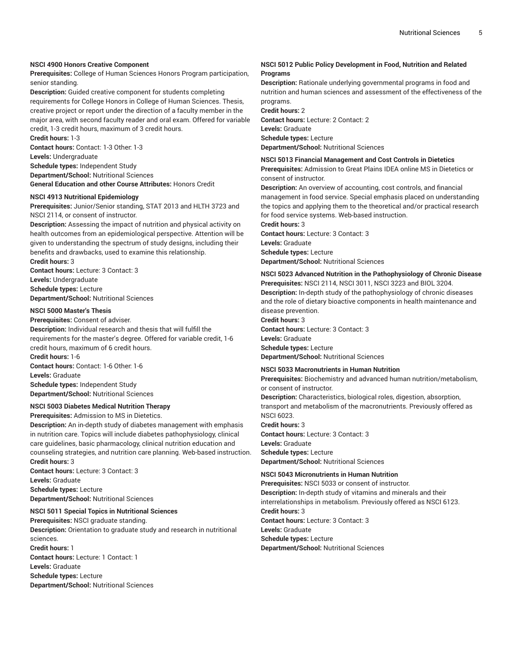#### **NSCI 4900 Honors Creative Component**

**Prerequisites:** College of Human Sciences Honors Program participation, senior standing.

**Description:** Guided creative component for students completing requirements for College Honors in College of Human Sciences. Thesis, creative project or report under the direction of a faculty member in the major area, with second faculty reader and oral exam. Offered for variable credit, 1-3 credit hours, maximum of 3 credit hours.

**Credit hours:** 1-3

**Contact hours:** Contact: 1-3 Other: 1-3

**Levels:** Undergraduate

**Schedule types:** Independent Study **Department/School:** Nutritional Sciences **General Education and other Course Attributes:** Honors Credit

#### **NSCI 4913 Nutritional Epidemiology**

**Prerequisites:** Junior/Senior standing, STAT 2013 and HLTH 3723 and NSCI 2114, or consent of instructor.

**Description:** Assessing the impact of nutrition and physical activity on health outcomes from an epidemiological perspective. Attention will be given to understanding the spectrum of study designs, including their benefits and drawbacks, used to examine this relationship.

**Credit hours:** 3 **Contact hours:** Lecture: 3 Contact: 3 **Levels:** Undergraduate **Schedule types:** Lecture

**Department/School:** Nutritional Sciences

#### **NSCI 5000 Master's Thesis**

**Prerequisites:** Consent of adviser. **Description:** Individual research and thesis that will fulfill the requirements for the master's degree. Offered for variable credit, 1-6 credit hours, maximum of 6 credit hours. **Credit hours:** 1-6 **Contact hours:** Contact: 1-6 Other: 1-6 **Levels:** Graduate **Schedule types:** Independent Study **Department/School:** Nutritional Sciences

#### **NSCI 5003 Diabetes Medical Nutrition Therapy**

**Prerequisites:** Admission to MS in Dietetics.

**Description:** An in-depth study of diabetes management with emphasis in nutrition care. Topics will include diabetes pathophysiology, clinical care guidelines, basic pharmacology, clinical nutrition education and counseling strategies, and nutrition care planning. Web-based instruction. **Credit hours:** 3

**Contact hours:** Lecture: 3 Contact: 3 **Levels:** Graduate **Schedule types:** Lecture **Department/School:** Nutritional Sciences

#### **NSCI 5011 Special Topics in Nutritional Sciences**

**Prerequisites:** NSCI graduate standing. **Description:** Orientation to graduate study and research in nutritional sciences.

**Credit hours:** 1

**Contact hours:** Lecture: 1 Contact: 1 **Levels:** Graduate **Schedule types:** Lecture **Department/School:** Nutritional Sciences

#### **NSCI 5012 Public Policy Development in Food, Nutrition and Related Programs**

**Description:** Rationale underlying governmental programs in food and nutrition and human sciences and assessment of the effectiveness of the programs.

**Credit hours:** 2 **Contact hours:** Lecture: 2 Contact: 2 **Levels:** Graduate **Schedule types:** Lecture **Department/School:** Nutritional Sciences

**NSCI 5013 Financial Management and Cost Controls in Dietetics**

**Prerequisites:** Admission to Great Plains IDEA online MS in Dietetics or consent of instructor.

**Description:** An overview of accounting, cost controls, and financial management in food service. Special emphasis placed on understanding the topics and applying them to the theoretical and/or practical research for food service systems. Web-based instruction.

**Credit hours:** 3 **Contact hours:** Lecture: 3 Contact: 3 **Levels:** Graduate

**Schedule types:** Lecture **Department/School:** Nutritional Sciences

#### **NSCI 5023 Advanced Nutrition in the Pathophysiology of Chronic Disease Prerequisites:** NSCI 2114, NSCI 3011, NSCI 3223 and BIOL 3204.

**Description:** In-depth study of the pathophysiology of chronic diseases and the role of dietary bioactive components in health maintenance and disease prevention.

**Credit hours:** 3 **Contact hours:** Lecture: 3 Contact: 3 **Levels:** Graduate **Schedule types:** Lecture

**Department/School:** Nutritional Sciences

#### **NSCI 5033 Macronutrients in Human Nutrition**

**Prerequisites:** Biochemistry and advanced human nutrition/metabolism, or consent of instructor.

**Description:** Characteristics, biological roles, digestion, absorption, transport and metabolism of the macronutrients. Previously offered as NSCI 6023.

**Credit hours:** 3 **Contact hours:** Lecture: 3 Contact: 3 **Levels:** Graduate **Schedule types:** Lecture **Department/School:** Nutritional Sciences

#### **NSCI 5043 Micronutrients in Human Nutrition**

**Prerequisites:** NSCI 5033 or consent of instructor. **Description:** In-depth study of vitamins and minerals and their interrelationships in metabolism. Previously offered as NSCI 6123. **Credit hours:** 3 **Contact hours:** Lecture: 3 Contact: 3 **Levels:** Graduate **Schedule types:** Lecture **Department/School:** Nutritional Sciences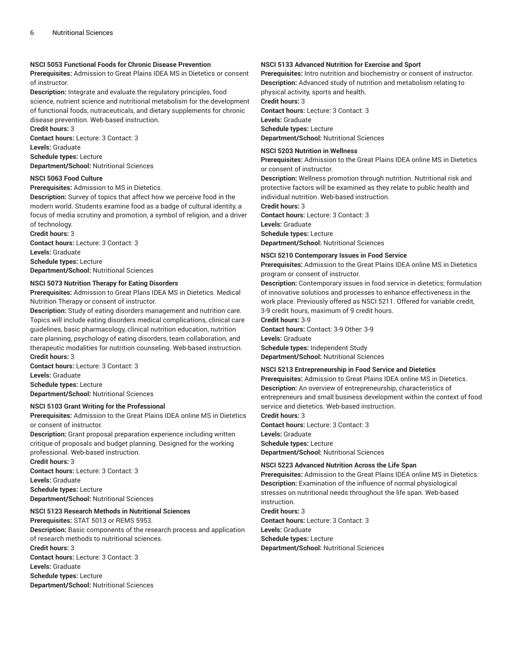#### **NSCI 5053 Functional Foods for Chronic Disease Prevention**

**Prerequisites:** Admission to Great Plains IDEA MS in Dietetics or consent of instructor.

**Description:** Integrate and evaluate the regulatory principles, food science, nutrient science and nutritional metabolism for the development of functional foods, nutraceuticals, and dietary supplements for chronic disease prevention. Web-based instruction.

**Credit hours:** 3 **Contact hours:** Lecture: 3 Contact: 3 **Levels:** Graduate **Schedule types:** Lecture

**Department/School:** Nutritional Sciences

#### **NSCI 5063 Food Culture**

**Prerequisites:** Admission to MS in Dietetics.

**Description:** Survey of topics that affect how we perceive food in the modern world. Students examine food as a badge of cultural identity, a focus of media scrutiny and promotion, a symbol of religion, and a driver of technology.

**Credit hours:** 3 **Contact hours:** Lecture: 3 Contact: 3 **Levels:** Graduate **Schedule types:** Lecture **Department/School:** Nutritional Sciences

#### **NSCI 5073 Nutrition Therapy for Eating Disorders**

**Prerequisites:** Admission to Great Plans IDEA MS in Dietetics. Medical Nutrition Therapy or consent of instructor.

**Description:** Study of eating disorders management and nutrition care. Topics will include eating disorders medical complications, clinical care guidelines, basic pharmacology, clinical nutrition education, nutrition care planning, psychology of eating disorders, team collaboration, and therapeutic modalities for nutrition counseling. Web-based instruction. **Credit hours:** 3

**Contact hours:** Lecture: 3 Contact: 3 **Levels:** Graduate **Schedule types:** Lecture **Department/School:** Nutritional Sciences

#### **NSCI 5103 Grant Writing for the Professional**

**Prerequisites:** Admission to the Great Plains IDEA online MS in Dietetics or consent of instructor.

**Description:** Grant proposal preparation experience including written critique of proposals and budget planning. Designed for the working professional. Web-based instruction. **Credit hours:** 3

**Contact hours:** Lecture: 3 Contact: 3 **Levels:** Graduate **Schedule types:** Lecture **Department/School:** Nutritional Sciences

#### **NSCI 5123 Research Methods in Nutritional Sciences**

**Prerequisites:** STAT 5013 or REMS 5953. **Description:** Basic components of the research process and application of research methods to nutritional sciences. **Credit hours:** 3 **Contact hours:** Lecture: 3 Contact: 3 **Levels:** Graduate **Schedule types:** Lecture **Department/School:** Nutritional Sciences

#### **NSCI 5133 Advanced Nutrition for Exercise and Sport**

**Prerequisites:** Intro nutrition and biochemistry or consent of instructor. **Description:** Advanced study of nutrition and metabolism relating to physical activity, sports and health.

**Credit hours:** 3

**Contact hours:** Lecture: 3 Contact: 3 **Levels:** Graduate **Schedule types:** Lecture

**Department/School:** Nutritional Sciences

#### **NSCI 5203 Nutrition in Wellness**

**Prerequisites:** Admission to the Great Plains IDEA online MS in Dietetics or consent of instructor.

**Description:** Wellness promotion through nutrition. Nutritional risk and protective factors will be examined as they relate to public health and individual nutrition. Web-based instruction.

**Credit hours:** 3

**Contact hours:** Lecture: 3 Contact: 3 **Levels:** Graduate **Schedule types:** Lecture **Department/School:** Nutritional Sciences

#### **NSCI 5210 Contemporary Issues in Food Service**

**Prerequisites:** Admission to the Great Plains IDEA online MS in Dietetics program or consent of instructor.

**Description:** Contemporary issues in food service in dietetics; formulation of innovative solutions and processes to enhance effectiveness in the work place. Previously offered as NSCI 5211. Offered for variable credit, 3-9 credit hours, maximum of 9 credit hours.

**Credit hours:** 3-9 **Contact hours:** Contact: 3-9 Other: 3-9 **Levels:** Graduate **Schedule types:** Independent Study

**Department/School:** Nutritional Sciences

#### **NSCI 5213 Entrepreneurship in Food Service and Dietetics**

**Prerequisites:** Admission to Great Plains IDEA online MS in Dietetics. **Description:** An overview of entrepreneurship, characteristics of entrepreneurs and small business development within the context of food service and dietetics. Web-based instruction.

**Credit hours:** 3 **Contact hours:** Lecture: 3 Contact: 3 **Levels:** Graduate **Schedule types:** Lecture **Department/School:** Nutritional Sciences

#### **NSCI 5223 Advanced Nutrition Across the Life Span**

**Prerequisites:** Admission to the Great Plains IDEA online MS in Dietetics. **Description:** Examination of the influence of normal physiological stresses on nutritional needs throughout the life span. Web-based instruction.

**Credit hours:** 3

**Contact hours:** Lecture: 3 Contact: 3 **Levels:** Graduate **Schedule types:** Lecture **Department/School:** Nutritional Sciences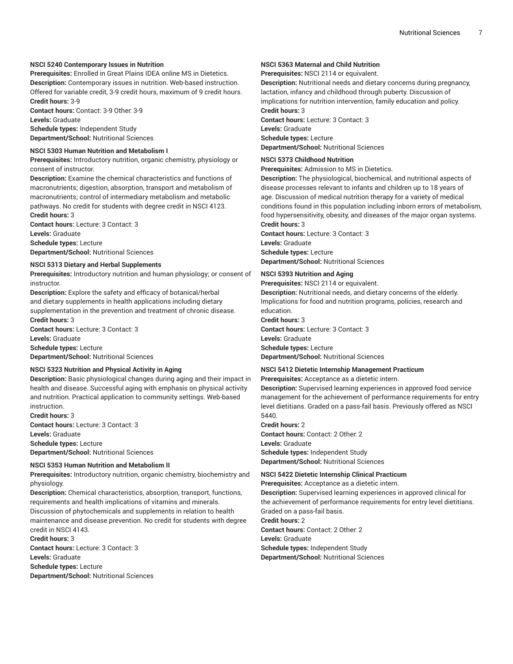#### **NSCI 5240 Contemporary Issues in Nutrition**

**Prerequisites:** Enrolled in Great Plains IDEA online MS in Dietetics. **Description:** Contemporary issues in nutrition. Web-based instruction. Offered for variable credit, 3-9 credit hours, maximum of 9 credit hours. **Credit hours:** 3-9

**Contact hours:** Contact: 3-9 Other: 3-9 **Levels:** Graduate **Schedule types:** Independent Study

**Department/School:** Nutritional Sciences

#### **NSCI 5303 Human Nutrition and Metabolism I**

**Prerequisites:** Introductory nutrition, organic chemistry, physiology or consent of instructor.

**Description:** Examine the chemical characteristics and functions of macronutrients; digestion, absorption, transport and metabolism of macronutrients; control of intermediary metabolism and metabolic pathways. No credit for students with degree credit in NSCI 4123. **Credit hours:** 3

**Contact hours:** Lecture: 3 Contact: 3

**Levels:** Graduate

**Schedule types:** Lecture

**Department/School:** Nutritional Sciences

#### **NSCI 5313 Dietary and Herbal Supplements**

**Prerequisites:** Introductory nutrition and human physiology; or consent of instructor.

**Description:** Explore the safety and efficacy of botanical/herbal and dietary supplements in health applications including dietary supplementation in the prevention and treatment of chronic disease. **Credit hours:** 3

**Contact hours:** Lecture: 3 Contact: 3 **Levels:** Graduate **Schedule types:** Lecture **Department/School:** Nutritional Sciences

#### **NSCI 5323 Nutrition and Physical Activity in Aging**

**Description:** Basic physiological changes during aging and their impact in health and disease. Successful aging with emphasis on physical activity and nutrition. Practical application to community settings. Web-based instruction.

**Credit hours:** 3

**Contact hours:** Lecture: 3 Contact: 3 **Levels:** Graduate **Schedule types:** Lecture **Department/School:** Nutritional Sciences

#### **NSCI 5353 Human Nutrition and Metabolism II**

**Prerequisites:** Introductory nutrition, organic chemistry, biochemistry and physiology.

**Description:** Chemical characteristics, absorption, transport, functions, requirements and health implications of vitamins and minerals. Discussion of phytochemicals and supplements in relation to health maintenance and disease prevention. No credit for students with degree credit in NSCI 4143. **Credit hours:** 3

**Contact hours:** Lecture: 3 Contact: 3 **Levels:** Graduate

**Schedule types:** Lecture

**Department/School:** Nutritional Sciences

#### **NSCI 5363 Maternal and Child Nutrition**

**Prerequisites:** NSCI 2114 or equivalent.

**Description:** Nutritional needs and dietary concerns during pregnancy, lactation, infancy and childhood through puberty. Discussion of implications for nutrition intervention, family education and policy. **Credit hours:** 3

**Contact hours:** Lecture: 3 Contact: 3 **Levels:** Graduate **Schedule types:** Lecture **Department/School:** Nutritional Sciences

#### **NSCI 5373 Childhood Nutrition**

**Prerequisites:** Admission to MS in Dietetics.

**Description:** The physiological, biochemical, and nutritional aspects of disease processes relevant to infants and children up to 18 years of age. Discussion of medical nutrition therapy for a variety of medical conditions found in this population including inborn errors of metabolism, food hypersensitivity, obesity, and diseases of the major organ systems. **Credit hours:** 3

**Contact hours:** Lecture: 3 Contact: 3 **Levels:** Graduate **Schedule types:** Lecture **Department/School:** Nutritional Sciences

#### **NSCI 5393 Nutrition and Aging**

**Prerequisites:** NSCI 2114 or equivalent.

**Description:** Nutritional needs, and dietary concerns of the elderly. Implications for food and nutrition programs, policies, research and education.

**Credit hours:** 3 **Contact hours:** Lecture: 3 Contact: 3 **Levels:** Graduate **Schedule types:** Lecture

**Department/School:** Nutritional Sciences

#### **NSCI 5412 Dietetic Internship Management Practicum**

**Prerequisites:** Acceptance as a dietetic intern.

**Description:** Supervised learning experiences in approved food service management for the achievement of performance requirements for entry level dietitians. Graded on a pass-fail basis. Previously offered as NSCI 5440.

**Credit hours:** 2 **Contact hours:** Contact: 2 Other: 2 **Levels:** Graduate **Schedule types:** Independent Study **Department/School:** Nutritional Sciences

#### **NSCI 5422 Dietetic Internship Clinical Practicum**

**Prerequisites:** Acceptance as a dietetic intern.

**Description:** Supervised learning experiences in approved clinical for the achievement of performance requirements for entry level dietitians. Graded on a pass-fail basis.

**Credit hours:** 2 **Contact hours:** Contact: 2 Other: 2 **Levels:** Graduate

**Schedule types:** Independent Study **Department/School:** Nutritional Sciences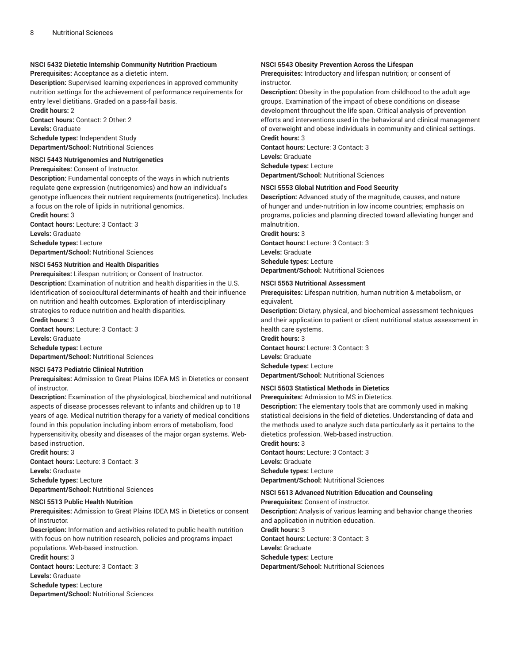#### **NSCI 5432 Dietetic Internship Community Nutrition Practicum**

**Prerequisites:** Acceptance as a dietetic intern.

**Description:** Supervised learning experiences in approved community nutrition settings for the achievement of performance requirements for entry level dietitians. Graded on a pass-fail basis.

**Credit hours:** 2 **Contact hours:** Contact: 2 Other: 2 **Levels:** Graduate **Schedule types:** Independent Study **Department/School:** Nutritional Sciences

#### **NSCI 5443 Nutrigenomics and Nutrigenetics**

**Prerequisites:** Consent of Instructor.

**Description:** Fundamental concepts of the ways in which nutrients regulate gene expression (nutrigenomics) and how an individual's genotype influences their nutrient requirements (nutrigenetics). Includes a focus on the role of lipids in nutritional genomics. **Credit hours:** 3

**Contact hours:** Lecture: 3 Contact: 3 **Levels:** Graduate

**Schedule types:** Lecture

**Department/School:** Nutritional Sciences

#### **NSCI 5453 Nutrition and Health Disparities**

**Prerequisites:** Lifespan nutrition; or Consent of Instructor. **Description:** Examination of nutrition and health disparities in the U.S. Identification of sociocultural determinants of health and their influence on nutrition and health outcomes. Exploration of interdisciplinary strategies to reduce nutrition and health disparities.

**Credit hours:** 3 **Contact hours:** Lecture: 3 Contact: 3 **Levels:** Graduate **Schedule types:** Lecture

**Department/School:** Nutritional Sciences

#### **NSCI 5473 Pediatric Clinical Nutrition**

**Prerequisites:** Admission to Great Plains IDEA MS in Dietetics or consent of instructor.

**Description:** Examination of the physiological, biochemical and nutritional aspects of disease processes relevant to infants and children up to 18 years of age. Medical nutrition therapy for a variety of medical conditions found in this population including inborn errors of metabolism, food hypersensitivity, obesity and diseases of the major organ systems. Webbased instruction.

**Credit hours:** 3

**Contact hours:** Lecture: 3 Contact: 3 **Levels:** Graduate **Schedule types:** Lecture **Department/School:** Nutritional Sciences

#### **NSCI 5513 Public Health Nutrition**

**Prerequisites:** Admission to Great Plains IDEA MS in Dietetics or consent of Instructor.

**Description:** Information and activities related to public health nutrition with focus on how nutrition research, policies and programs impact populations. Web-based instruction. **Credit hours:** 3

**Contact hours:** Lecture: 3 Contact: 3

**Levels:** Graduate

**Schedule types:** Lecture

**Department/School:** Nutritional Sciences

#### **NSCI 5543 Obesity Prevention Across the Lifespan**

**Prerequisites:** Introductory and lifespan nutrition; or consent of instructor.

**Description:** Obesity in the population from childhood to the adult age groups. Examination of the impact of obese conditions on disease development throughout the life span. Critical analysis of prevention efforts and interventions used in the behavioral and clinical management of overweight and obese individuals in community and clinical settings. **Credit hours:** 3

**Contact hours:** Lecture: 3 Contact: 3 **Levels:** Graduate **Schedule types:** Lecture **Department/School:** Nutritional Sciences

#### **NSCI 5553 Global Nutrition and Food Security**

**Description:** Advanced study of the magnitude, causes, and nature of hunger and under-nutrition in low income countries; emphasis on programs, policies and planning directed toward alleviating hunger and malnutrition.

**Credit hours:** 3 **Contact hours:** Lecture: 3 Contact: 3

**Levels:** Graduate **Schedule types:** Lecture **Department/School:** Nutritional Sciences

#### **NSCI 5563 Nutritional Assessment**

**Prerequisites:** Lifespan nutrition, human nutrition & metabolism, or equivalent.

**Description:** Dietary, physical, and biochemical assessment techniques and their application to patient or client nutritional status assessment in health care systems. **Credit hours:** 3

**Contact hours:** Lecture: 3 Contact: 3 **Levels:** Graduate **Schedule types:** Lecture **Department/School:** Nutritional Sciences

#### **NSCI 5603 Statistical Methods in Dietetics**

**Prerequisites:** Admission to MS in Dietetics.

**Description:** The elementary tools that are commonly used in making statistical decisions in the field of dietetics. Understanding of data and the methods used to analyze such data particularly as it pertains to the dietetics profession. Web-based instruction.

**Credit hours:** 3

**Contact hours:** Lecture: 3 Contact: 3 **Levels:** Graduate **Schedule types:** Lecture **Department/School:** Nutritional Sciences

#### **NSCI 5613 Advanced Nutrition Education and Counseling**

**Prerequisites:** Consent of instructor.

**Description:** Analysis of various learning and behavior change theories and application in nutrition education.

**Credit hours:** 3

**Contact hours:** Lecture: 3 Contact: 3 **Levels:** Graduate **Schedule types:** Lecture **Department/School:** Nutritional Sciences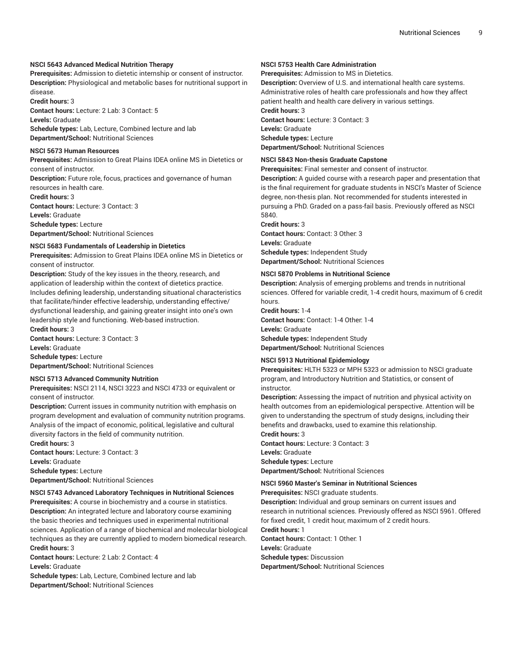#### **NSCI 5643 Advanced Medical Nutrition Therapy**

**Prerequisites:** Admission to dietetic internship or consent of instructor. **Description:** Physiological and metabolic bases for nutritional support in disease.

**Credit hours:** 3 **Contact hours:** Lecture: 2 Lab: 3 Contact: 5 **Levels:** Graduate

**Schedule types:** Lab, Lecture, Combined lecture and lab **Department/School:** Nutritional Sciences

#### **NSCI 5673 Human Resources**

**Prerequisites:** Admission to Great Plains IDEA online MS in Dietetics or consent of instructor.

**Description:** Future role, focus, practices and governance of human resources in health care.

**Credit hours:** 3 **Contact hours:** Lecture: 3 Contact: 3 **Levels:** Graduate **Schedule types:** Lecture **Department/School:** Nutritional Sciences

#### **NSCI 5683 Fundamentals of Leadership in Dietetics**

**Prerequisites:** Admission to Great Plains IDEA online MS in Dietetics or consent of instructor.

**Description:** Study of the key issues in the theory, research, and application of leadership within the context of dietetics practice. Includes defining leadership, understanding situational characteristics that facilitate/hinder effective leadership, understanding effective/ dysfunctional leadership, and gaining greater insight into one's own leadership style and functioning. Web-based instruction.

**Credit hours:** 3 **Contact hours:** Lecture: 3 Contact: 3 **Levels:** Graduate

**Schedule types:** Lecture **Department/School:** Nutritional Sciences

#### **NSCI 5713 Advanced Community Nutrition**

**Prerequisites:** NSCI 2114, NSCI 3223 and NSCI 4733 or equivalent or consent of instructor.

**Description:** Current issues in community nutrition with emphasis on program development and evaluation of community nutrition programs. Analysis of the impact of economic, political, legislative and cultural diversity factors in the field of community nutrition.

**Credit hours:** 3 **Contact hours:** Lecture: 3 Contact: 3 **Levels:** Graduate

**Schedule types:** Lecture

**Department/School:** Nutritional Sciences

#### **NSCI 5743 Advanced Laboratory Techniques in Nutritional Sciences**

**Prerequisites:** A course in biochemistry and a course in statistics. **Description:** An integrated lecture and laboratory course examining the basic theories and techniques used in experimental nutritional sciences. Application of a range of biochemical and molecular biological techniques as they are currently applied to modern biomedical research. **Credit hours:** 3

**Contact hours:** Lecture: 2 Lab: 2 Contact: 4

**Levels:** Graduate

**Schedule types:** Lab, Lecture, Combined lecture and lab **Department/School:** Nutritional Sciences

#### **NSCI 5753 Health Care Administration**

**Prerequisites:** Admission to MS in Dietetics.

**Description:** Overview of U.S. and international health care systems. Administrative roles of health care professionals and how they affect patient health and health care delivery in various settings. **Credit hours:** 3 **Contact hours:** Lecture: 3 Contact: 3 **Levels:** Graduate **Schedule types:** Lecture

**Department/School:** Nutritional Sciences

#### **NSCI 5843 Non-thesis Graduate Capstone**

**Prerequisites:** Final semester and consent of instructor.

**Description:** A guided course with a research paper and presentation that is the final requirement for graduate students in NSCI's Master of Science degree, non-thesis plan. Not recommended for students interested in pursuing a PhD. Graded on a pass-fail basis. Previously offered as NSCI 5840.

**Credit hours:** 3

**Contact hours:** Contact: 3 Other: 3 **Levels:** Graduate **Schedule types:** Independent Study **Department/School:** Nutritional Sciences

#### **NSCI 5870 Problems in Nutritional Science**

**Description:** Analysis of emerging problems and trends in nutritional sciences. Offered for variable credit, 1-4 credit hours, maximum of 6 credit hours.

**Credit hours:** 1-4 **Contact hours:** Contact: 1-4 Other: 1-4 **Levels:** Graduate **Schedule types:** Independent Study **Department/School:** Nutritional Sciences

#### **NSCI 5913 Nutritional Epidemiology**

**Prerequisites:** HLTH 5323 or MPH 5323 or admission to NSCI graduate program, and Introductory Nutrition and Statistics, or consent of instructor.

**Description:** Assessing the impact of nutrition and physical activity on health outcomes from an epidemiological perspective. Attention will be given to understanding the spectrum of study designs, including their benefits and drawbacks, used to examine this relationship.

#### **Credit hours:** 3

**Contact hours:** Lecture: 3 Contact: 3 **Levels:** Graduate **Schedule types:** Lecture **Department/School:** Nutritional Sciences

#### **NSCI 5960 Master's Seminar in Nutritional Sciences**

**Prerequisites:** NSCI graduate students.

**Description:** Individual and group seminars on current issues and research in nutritional sciences. Previously offered as NSCI 5961. Offered for fixed credit, 1 credit hour, maximum of 2 credit hours.

**Credit hours:** 1 **Contact hours:** Contact: 1 Other: 1

**Levels:** Graduate

**Schedule types:** Discussion

**Department/School:** Nutritional Sciences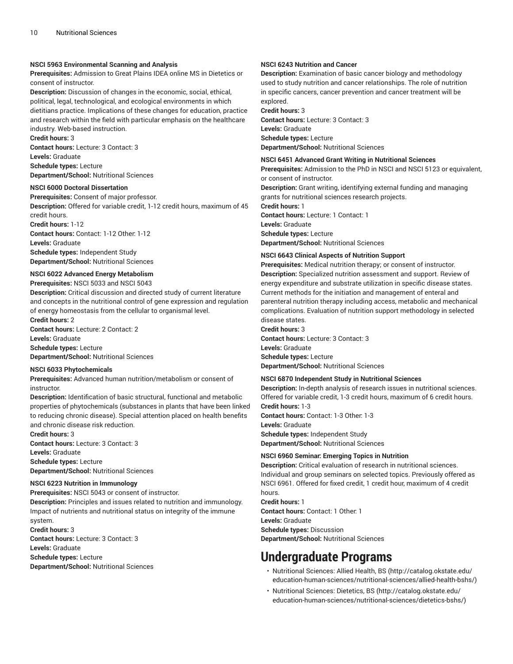#### **NSCI 5963 Environmental Scanning and Analysis**

**Prerequisites:** Admission to Great Plains IDEA online MS in Dietetics or consent of instructor.

**Description:** Discussion of changes in the economic, social, ethical, political, legal, technological, and ecological environments in which dietitians practice. Implications of these changes for education, practice and research within the field with particular emphasis on the healthcare industry. Web-based instruction.

**Credit hours:** 3 **Contact hours:** Lecture: 3 Contact: 3 **Levels:** Graduate **Schedule types:** Lecture

**Department/School:** Nutritional Sciences

#### **NSCI 6000 Doctoral Dissertation**

**Prerequisites:** Consent of major professor. **Description:** Offered for variable credit, 1-12 credit hours, maximum of 45 credit hours.

**Credit hours:** 1-12 **Contact hours:** Contact: 1-12 Other: 1-12 **Levels:** Graduate **Schedule types:** Independent Study **Department/School:** Nutritional Sciences

#### **NSCI 6022 Advanced Energy Metabolism**

**Prerequisites:** NSCI 5033 and NSCI 5043

**Description:** Critical discussion and directed study of current literature and concepts in the nutritional control of gene expression and regulation of energy homeostasis from the cellular to organismal level. **Credit hours:** 2

**Contact hours:** Lecture: 2 Contact: 2 **Levels:** Graduate **Schedule types:** Lecture

**Department/School:** Nutritional Sciences

#### **NSCI 6033 Phytochemicals**

**Prerequisites:** Advanced human nutrition/metabolism or consent of instructor.

**Description:** Identification of basic structural, functional and metabolic properties of phytochemicals (substances in plants that have been linked to reducing chronic disease). Special attention placed on health benefits and chronic disease risk reduction.

**Credit hours:** 3

**Contact hours:** Lecture: 3 Contact: 3 **Levels:** Graduate **Schedule types:** Lecture **Department/School:** Nutritional Sciences

#### **NSCI 6223 Nutrition in Immunology**

**Prerequisites:** NSCI 5043 or consent of instructor.

**Description:** Principles and issues related to nutrition and immunology. Impact of nutrients and nutritional status on integrity of the immune system.

**Credit hours:** 3

**Contact hours:** Lecture: 3 Contact: 3

**Levels:** Graduate

**Schedule types:** Lecture

**Department/School:** Nutritional Sciences

#### **NSCI 6243 Nutrition and Cancer**

**Description:** Examination of basic cancer biology and methodology used to study nutrition and cancer relationships. The role of nutrition in specific cancers, cancer prevention and cancer treatment will be explored.

**Credit hours:** 3 **Contact hours:** Lecture: 3 Contact: 3 **Levels:** Graduate **Schedule types:** Lecture **Department/School:** Nutritional Sciences

#### **NSCI 6451 Advanced Grant Writing in Nutritional Sciences**

**Prerequisites:** Admission to the PhD in NSCI and NSCI 5123 or equivalent, or consent of instructor. **Description:** Grant writing, identifying external funding and managing grants for nutritional sciences research projects. **Credit hours:** 1 **Contact hours:** Lecture: 1 Contact: 1 **Levels:** Graduate **Schedule types:** Lecture **Department/School:** Nutritional Sciences

#### **NSCI 6643 Clinical Aspects of Nutrition Support**

**Prerequisites:** Medical nutrition therapy; or consent of instructor. **Description:** Specialized nutrition assessment and support. Review of energy expenditure and substrate utilization in specific disease states. Current methods for the initiation and management of enteral and parenteral nutrition therapy including access, metabolic and mechanical complications. Evaluation of nutrition support methodology in selected disease states.

#### **Credit hours:** 3

**Contact hours:** Lecture: 3 Contact: 3 **Levels:** Graduate **Schedule types:** Lecture **Department/School:** Nutritional Sciences

#### **NSCI 6870 Independent Study in Nutritional Sciences**

**Description:** In-depth analysis of research issues in nutritional sciences. Offered for variable credit, 1-3 credit hours, maximum of 6 credit hours. **Credit hours:** 1-3

**Contact hours:** Contact: 1-3 Other: 1-3 **Levels:** Graduate **Schedule types:** Independent Study **Department/School:** Nutritional Sciences

#### **NSCI 6960 Seminar: Emerging Topics in Nutrition**

**Description:** Critical evaluation of research in nutritional sciences. Individual and group seminars on selected topics. Previously offered as NSCI 6961. Offered for fixed credit, 1 credit hour, maximum of 4 credit hours.

**Credit hours:** 1 **Contact hours:** Contact: 1 Other: 1 **Levels:** Graduate **Schedule types:** Discussion **Department/School:** Nutritional Sciences

### **Undergraduate Programs**

- [Nutritional Sciences: Allied Health, BS](http://catalog.okstate.edu/education-human-sciences/nutritional-sciences/allied-health-bshs/) ([http://catalog.okstate.edu/](http://catalog.okstate.edu/education-human-sciences/nutritional-sciences/allied-health-bshs/) [education-human-sciences/nutritional-sciences/allied-health-bshs/\)](http://catalog.okstate.edu/education-human-sciences/nutritional-sciences/allied-health-bshs/)
- [Nutritional Sciences: Dietetics, BS](http://catalog.okstate.edu/education-human-sciences/nutritional-sciences/dietetics-bshs/) ([http://catalog.okstate.edu/](http://catalog.okstate.edu/education-human-sciences/nutritional-sciences/dietetics-bshs/) [education-human-sciences/nutritional-sciences/dietetics-bshs/\)](http://catalog.okstate.edu/education-human-sciences/nutritional-sciences/dietetics-bshs/)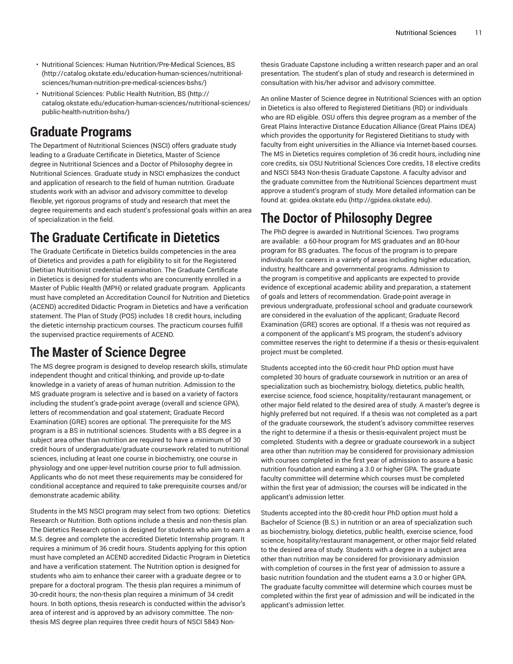- Nutritional Sciences: Human [Nutrition/Pre-Medical](http://catalog.okstate.edu/education-human-sciences/nutritional-sciences/human-nutrition-pre-medical-sciences-bshs/) Sciences, BS ([http://catalog.okstate.edu/education-human-sciences/nutritional](http://catalog.okstate.edu/education-human-sciences/nutritional-sciences/human-nutrition-pre-medical-sciences-bshs/)[sciences/human-nutrition-pre-medical-sciences-bshs/\)](http://catalog.okstate.edu/education-human-sciences/nutritional-sciences/human-nutrition-pre-medical-sciences-bshs/)
- [Nutritional Sciences: Public Health Nutrition, BS](http://catalog.okstate.edu/education-human-sciences/nutritional-sciences/public-health-nutrition-bshs/) ([http://](http://catalog.okstate.edu/education-human-sciences/nutritional-sciences/public-health-nutrition-bshs/) [catalog.okstate.edu/education-human-sciences/nutritional-sciences/](http://catalog.okstate.edu/education-human-sciences/nutritional-sciences/public-health-nutrition-bshs/) [public-health-nutrition-bshs/](http://catalog.okstate.edu/education-human-sciences/nutritional-sciences/public-health-nutrition-bshs/))

### **Graduate Programs**

The Department of Nutritional Sciences (NSCI) offers graduate study leading to a Graduate Certificate in Dietetics, Master of Science degree in Nutritional Sciences and a Doctor of Philosophy degree in Nutritional Sciences. Graduate study in NSCI emphasizes the conduct and application of research to the field of human nutrition. Graduate students work with an advisor and advisory committee to develop flexible, yet rigorous programs of study and research that meet the degree requirements and each student's professional goals within an area of specialization in the field.

## **The Graduate Certificate in Dietetics**

The Graduate Certificate in Dietetics builds competencies in the area of Dietetics and provides a path for eligibility to sit for the Registered Dietitian Nutritionist credential examination. The Graduate Certificate in Dietetics is designed for students who are concurrently enrolled in a Master of Public Health (MPH) or related graduate program. Applicants must have completed an Accreditation Council for Nutrition and Dietetics (ACEND) accredited Didactic Program in Dietetics and have a verification statement. The Plan of Study (POS) includes 18 credit hours, including the dietetic internship practicum courses. The practicum courses fulfill the supervised practice requirements of ACEND.

### **The Master of Science Degree**

The MS degree program is designed to develop research skills, stimulate independent thought and critical thinking, and provide up-to-date knowledge in a variety of areas of human nutrition. Admission to the MS graduate program is selective and is based on a variety of factors including the student's grade-point average (overall and science GPA), letters of recommendation and goal statement; Graduate Record Examination (GRE) scores are optional. The prerequisite for the MS program is a BS in nutritional sciences. Students with a BS degree in a subject area other than nutrition are required to have a minimum of 30 credit hours of undergraduate/graduate coursework related to nutritional sciences, including at least one course in biochemistry, one course in physiology and one upper-level nutrition course prior to full admission. Applicants who do not meet these requirements may be considered for conditional acceptance and required to take prerequisite courses and/or demonstrate academic ability.

Students in the MS NSCI program may select from two options: Dietetics Research or Nutrition. Both options include a thesis and non-thesis plan. The Dietetics Research option is designed for students who aim to earn a M.S. degree and complete the accredited Dietetic Internship program. It requires a minimum of 36 credit hours. Students applying for this option must have completed an ACEND accredited Didactic Program in Dietetics and have a verification statement. The Nutrition option is designed for students who aim to enhance their career with a graduate degree or to prepare for a doctoral program. The thesis plan requires a minimum of 30-credit hours; the non-thesis plan requires a minimum of 34 credit hours. In both options, thesis research is conducted within the advisor's area of interest and is approved by an advisory committee. The nonthesis MS degree plan requires three credit hours of NSCI 5843 Non-

thesis Graduate Capstone including a written research paper and an oral presentation. The student's plan of study and research is determined in consultation with his/her advisor and advisory committee.

An online Master of Science degree in Nutritional Sciences with an option in Dietetics is also offered to Registered Dietitians (RD) or individuals who are RD eligible. OSU offers this degree program as a member of the Great Plains Interactive Distance Education Alliance (Great Plains IDEA) which provides the opportunity for Registered Dietitians to study with faculty from eight universities in the Alliance via Internet-based courses. The MS in Dietetics requires completion of 36 credit hours, including nine core credits, six OSU Nutritional Sciences Core credits, 18 elective credits and NSCI 5843 Non-thesis Graduate Capstone. A faculty advisor and the graduate committee from the Nutritional Sciences department must approve a student's program of study. More detailed information can be found at: [gpidea.okstate.edu](http://gpidea.okstate.edu) ([http://gpidea.okstate.edu\)](http://gpidea.okstate.edu).

## **The Doctor of Philosophy Degree**

The PhD degree is awarded in Nutritional Sciences. Two programs are available: a 60-hour program for MS graduates and an 80-hour program for BS graduates. The focus of the program is to prepare individuals for careers in a variety of areas including higher education, industry, healthcare and governmental programs. Admission to the program is competitive and applicants are expected to provide evidence of exceptional academic ability and preparation, a statement of goals and letters of recommendation. Grade-point average in previous undergraduate, professional school and graduate coursework are considered in the evaluation of the applicant; Graduate Record Examination (GRE) scores are optional. If a thesis was not required as a component of the applicant's MS program, the student's advisory committee reserves the right to determine if a thesis or thesis-equivalent project must be completed.

Students accepted into the 60-credit hour PhD option must have completed 30 hours of graduate coursework in nutrition or an area of specialization such as biochemistry, biology, dietetics, public health, exercise science, food science, hospitality/restaurant management, or other major field related to the desired area of study. A master's degree is highly preferred but not required. If a thesis was not completed as a part of the graduate coursework, the student's advisory committee reserves the right to determine if a thesis or thesis-equivalent project must be completed. Students with a degree or graduate coursework in a subject area other than nutrition may be considered for provisionary admission with courses completed in the first year of admission to assure a basic nutrition foundation and earning a 3.0 or higher GPA. The graduate faculty committee will determine which courses must be completed within the first year of admission; the courses will be indicated in the applicant's admission letter.

Students accepted into the 80-credit hour PhD option must hold a Bachelor of Science (B.S.) in nutrition or an area of specialization such as biochemistry, biology, dietetics, public health, exercise science, food science, hospitality/restaurant management, or other major field related to the desired area of study. Students with a degree in a subject area other than nutrition may be considered for provisionary admission with completion of courses in the first year of admission to assure a basic nutrition foundation and the student earns a 3.0 or higher GPA. The graduate faculty committee will determine which courses must be completed within the first year of admission and will be indicated in the applicant's admission letter.